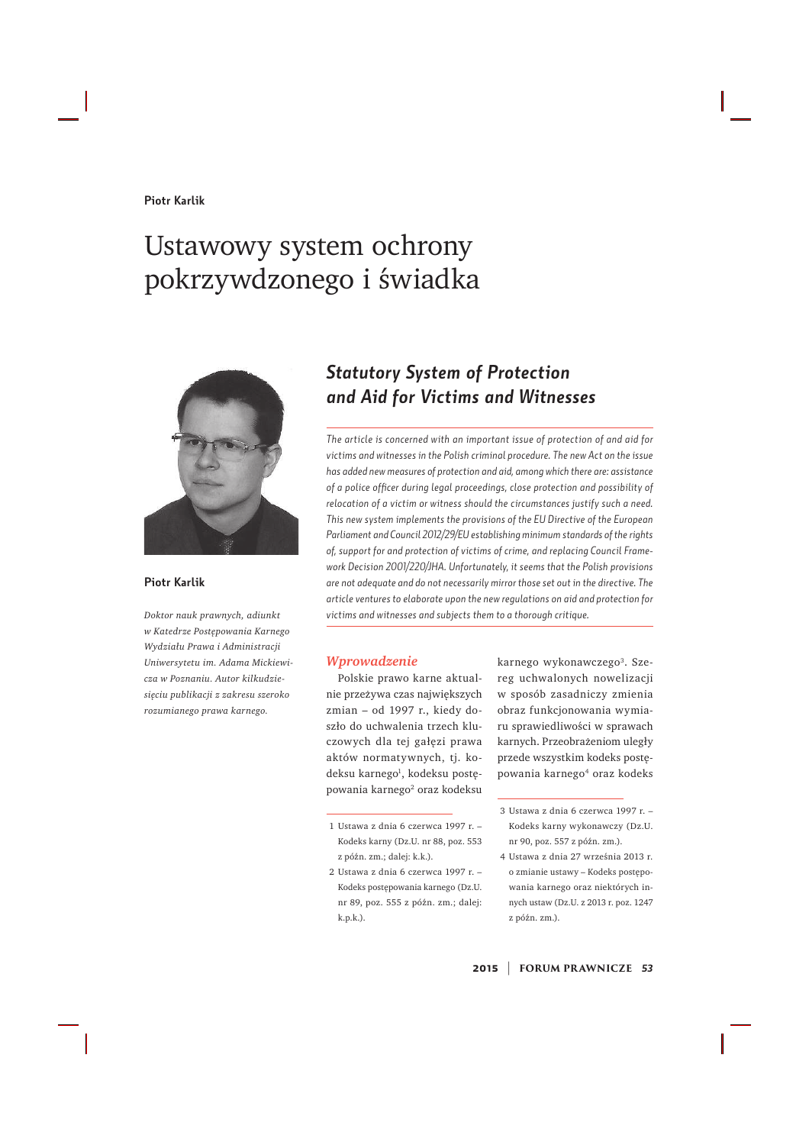#### **Piotr Karlik**

# Ustawowy system ochrony pokrzywdzonego i świadka



**Piotr Karlik**

Doktor nauk prawnych, adiunkt *w Katedrze Postępowania Karnego Wydziału Prawa i Administracji <i>Uniwersytetu im. Adama Mickiewi* $cza$  *w Poznaniu. Autor kilkudzie* $si$ eciu publikacji z zakresu szeroko rozumianego prawa karnego.

### *Statutory System of Protection and Aid for Victims and Witnesses*

*The article is concerned with an important issue of protection of and aid for victims and witnesses in the Polish criminal procedure. The new Act on the issue has added new measures of protection and aid, among which there are: assistance of a police officer during legal proceedings, close protection and possibility of relocation of a victim or witness should the circumstances justify such a need. This new system implements the provisions of the EU Directive of the European Parliament and Council 2012/29/EU establishing minimum standards of the rights of, support for and protection of victims of crime, and replacing Council Framework Decision 2001/220/JHA. Unfortunately, it seems that the Polish provisions are not adequate and do not necessarily mirror those set out in the directive. The article ventures to elaborate upon the new regulations on aid and protection for victims and witnesses and subjects them to a thorough critique.* 

#### *Wprowadzenie*

Polskie prawo karne aktualnie przeżywa czas największych  $z$ mian – od 1997 r., kiedy doszło do uchwalenia trzech kluczowych dla tej gałęzi prawa aktów normatywnych, tj. kodeksu karnego<sup>1</sup>, kodeksu postępowania karnego<sup>2</sup> oraz kodeksu

2 Ustawa z dnia 6 czerwca 1997 r. -Kodeks postępowania karnego (Dz.U. nr 89, poz. 555 z późn. zm.; dalej: k.p.k.).

karnego wykonawczego<sup>3</sup>. Szereg uchwalonych nowelizacji w sposób zasadniczy zmienia obraz funkcjonowania wymiaru sprawiedliwości w sprawach karnych. Przeobrażeniom uległy przede wszystkim kodeks postępowania karnego<sup>4</sup> oraz kodeks

<sup>1</sup> Ustawa z dnia 6 czerwca 1997 r. -Kodeks karny (Dz.U. nr 88, poz. 553 z późn. zm.; dalej: k.k.).

<sup>3</sup> Ustawa z dnia 6 czerwca 1997 r. -Kodeks karny wykonawczy (Dz.U. nr 90, poz. 557 z późn. zm.).

<sup>4</sup> Ustawa z dnia 27 września 2013 r. o zmianie ustawy – Kodeks postepowania karnego oraz niektórych innych ustaw (Dz.U. z 2013 r. poz. 1247 z późn. zm.).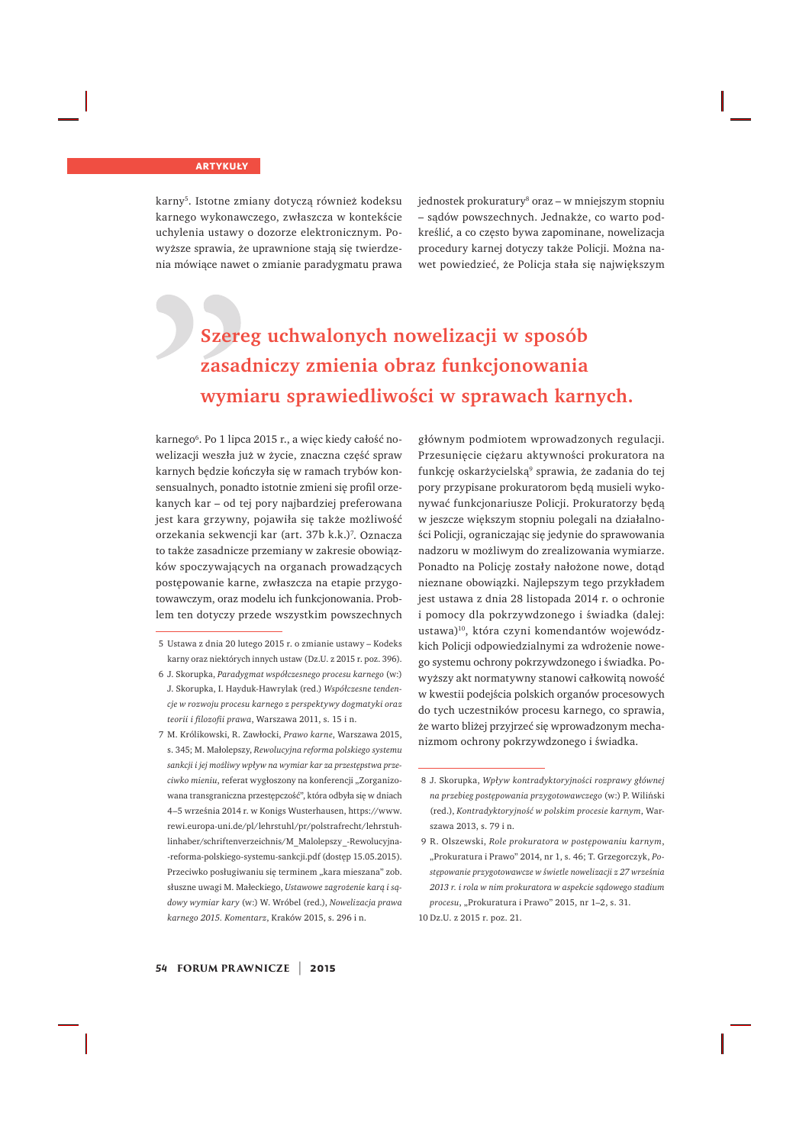karny<sup>5</sup>. Istotne zmiany dotyczą również kodeksu karnego wykonawczego, zwłaszcza w kontekście uchylenia ustawy o dozorze elektronicznym. Powyższe sprawia, że uprawnione stają się twierdzenia mówiące nawet o zmianie paradygmatu prawa

jednostek prokuratury<sup>8</sup> oraz – w mniejszym stopniu - sądów powszechnych. Jednakże, co warto podkreślić, a co czesto bywa zapominane, nowelizacja procedury karnei dotyczy także Policii. Można nawet powiedzieć, że Policja stała się największym

### **Szereg uchwalonych nowelizacji w sposób** zasadniczy zmienia obraz funkcjonowania wymiaru sprawiedliwości w sprawach karnych.

karnego'. Po 1 lipca 2015 r., a więc kiedy całość nowelizacji weszła już w życie, znaczna część spraw karnych będzie kończyła się w ramach trybów konsensualnych, ponadto istotnie zmieni się profil orzekanych kar – od tej pory najbardziej preferowana jest kara grzywny, pojawiła się także możliwość orzekania sekwencji kar (art. 37b k.k.)<sup>7</sup>. Oznacza to także zasadnicze przemiany w zakresie obowiązków spoczywających na organach prowadzących postępowanie karne, zwłaszcza na etapie przygotowawczym, oraz modelu ich funkcjonowania. Problem ten dotyczy przede wszystkim powszechnych

- 5 Ustawa z dnia 20 lutego 2015 r. o zmianie ustawy Kodeks karny oraz niektórych innych ustaw (Dz.U. z 2015 r. poz. 396).
- 6 J. Skorupka, Paradygmat współczesnego procesu karnego (w:) J. Skorupka, I. Hayduk-Hawrylak (red.) Współczesne tenden $r$ *ie w rozwoju procesu karnego z perspektywy dogmatyki oraz teorii i filozofii prawa, Warszawa 2011, s. 15 i n.*
- 7 M. Królikowski, R. Zawłocki, Prawo karne, Warszawa 2015, s. 345; M. Małolepszy, Rewolucyjna reforma polskiego systemu sankcji i jej możliwy wpływ na wymiar kar za przestępstwa przeciwko mieniu, referat wygłoszony na konferencji "Zorganizowana transgraniczna przestępczość", która odbyła się w dniach 4-5 września 2014 r. w Konigs Wusterhausen, https://www. rewi.europa-uni.de/pl/lehrstuhl/pr/polstrafrecht/lehrstuhlinhaber/schriftenverzeichnis/M Malolepszy -Rewolucyjna--reforma-polskiego-systemu-sankcii.pdf (dostep 15.05.2015). Przeciwko posługiwaniu się terminem "kara mieszana" zob. słuszne uwagi M. Małeckiego, Ustawowe zagrożenie karą i sądowy wymiar kary (w:) W. Wróbel (red.), Nowelizacja prawa *karnego 2015. Komentarz, Kraków 2015, s. 296 i n.*

głównym podmiotem wprowadzonych regulacji. Przesunięcie ciężaru aktywności prokuratora na funkcję oskarżycielską<sup>9</sup> sprawia, że zadania do tej pory przypisane prokuratorom bedą musieli wykonywać funkcjonariusze Policji. Prokuratorzy będą w jeszcze wiekszym stopniu polegali na działalności Policji, ograniczając się jedynie do sprawowania nadzoru w możliwym do zrealizowania wymiarze. Ponadto na Policję zostały nałożone nowe, dotąd nieznane obowiązki. Najlepszym tego przykładem jest ustawa z dnia 28 listopada 2014 r. o ochronie i pomocy dla pokrzywdzonego i świadka (dalej: ustawa)<sup>10</sup>, która czyni komendantów wojewódzkich Policji odpowiedzialnymi za wdrożenie nowego systemu ochrony pokrzywdzonego i świadka. Powyższy akt normatywny stanowi całkowitą nowość w kwestii podejścia polskich organów procesowych do tych uczestników procesu karnego, co sprawia, że warto bliżej przyjrzeć się wprowadzonym mechanizmom ochrony pokrzywdzonego i świadka.

<sup>8</sup> J. Skorupka, Wpływ kontradyktoryjności rozprawy głównej *na przebieg postępowania przygotowawczego (w:) P. Wiliński* (red.), Kontradyktoryjność w polskim procesie karnym, Warszawa 2013. s. 79 i n.

<sup>9</sup> R. Olszewski, Role prokuratora w postepowaniu karnym, "Prokuratura i Prawo" 2014, nr 1, s. 46; T. Grzegorczyk, Po*stepowanie przygotowawcze w świetle nowelizacji z 27 września*  $2013$ r. i rola w nim prokuratora w aspekcie sądowego stadium procesu, "Prokuratura i Prawo" 2015, nr 1-2, s. 31. 10 Dz.U. z 2015 r. poz. 21.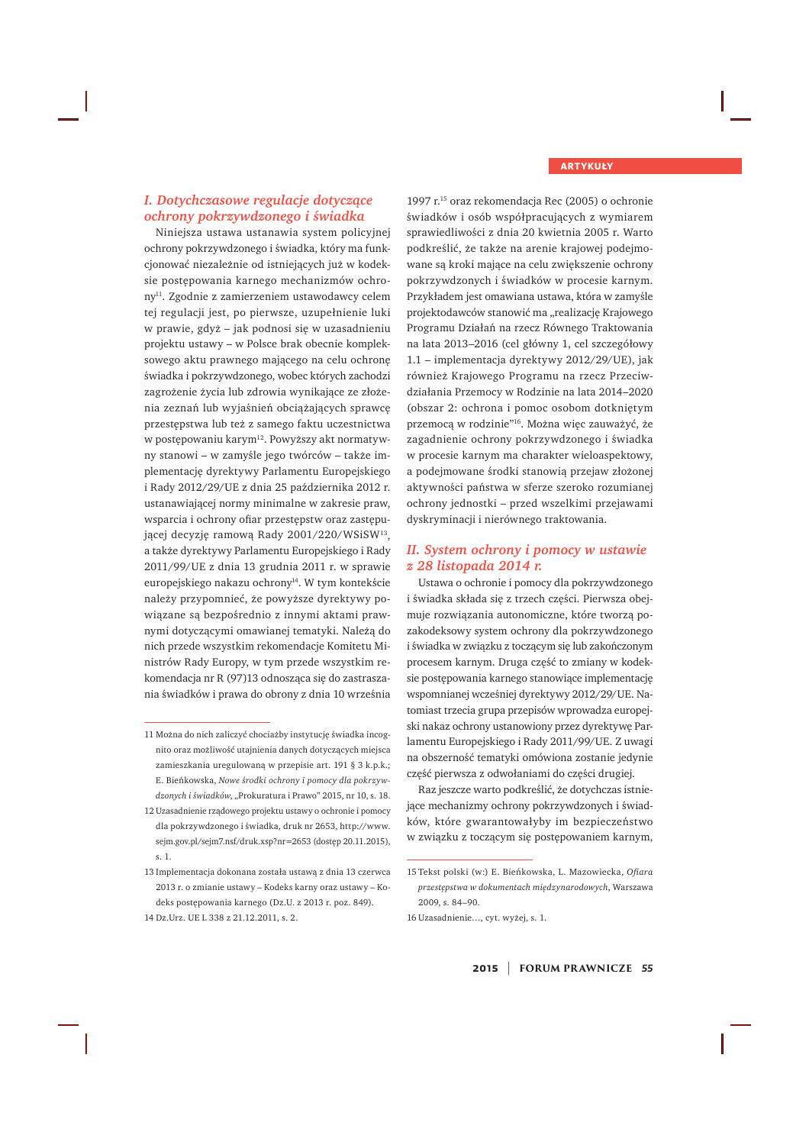#### *I. Dotychczasowe regulacje dotyczące ochrony pokrzywdzonego i świadka*

Niniejsza ustawa ustanawia system policyjnej ochrony pokrzywdzonego i świadka, który ma funkcjonować niezależnie od istniejacych już w kodeksie postępowania karnego mechanizmów ochrony<sup>11</sup>. Zgodnie z zamierzeniem ustawodawcy celem tej regulacji jest, po pierwsze, uzupełnienie luki w prawie, gdyż – jak podnosi się w uzasadnieniu projektu ustawy – w Polsce brak obecnie kompleksowego aktu prawnego mającego na celu ochronę świadka i pokrzywdzonego, wobec których zachodzi zagrożenie życia lub zdrowia wynikające ze złożenia zeznań lub wyjaśnień obciążających sprawcę przestępstwa lub też z samego faktu uczestnictwa w postępowaniu karym<sup>12</sup>. Powyższy akt normatywny stanowi – w zamyśle jego twórców – także implementację dyrektywy Parlamentu Europejskiego i Rady 2012/29/UE z dnia 25 października 2012 r. ustanawiającej normy minimalne w zakresie praw. wsparcia i ochrony ofiar przestępstw oraz zastępującej decyzję ramową Rady 2001/220/WSiSW13, a także dyrektywy Parlamentu Europejskiego i Rady 2011/99/UE z dnia 13 grudnia 2011 r. w sprawie europejskiego nakazu ochrony<sup>14</sup>. W tym kontekście należy przypomnieć, że powyższe dyrektywy powiązane są bezpośrednio z innymi aktami prawnymi dotyczącymi omawianej tematyki. Należą do nich przede wszystkim rekomendacje Komitetu Ministrów Rady Europy, w tym przede wszystkim rekomendacja nr R (97)13 odnosząca się do zastraszania świadków i prawa do obrony z dnia 10 września

1997 r.<sup>15</sup> oraz rekomendacja Rec (2005) o ochronie świadków i osób współpracujących z wymiarem sprawiedliwości z dnia 20 kwietnia 2005 r. Warto podkreślić, że także na arenie krajowej podejmowane są kroki mające na celu zwiększenie ochrony pokrzywdzonych i świadków w procesie karnym. Przykładem jest omawiana ustawa, która w zamyśle projektodawców stanowić ma "realizację Krajowego Programu Działań na rzecz Równego Traktowania na lata 2013-2016 (cel główny 1, cel szczegółowy 1.1 - implementacja dyrektywy 2012/29/UE), jak również Krajowego Programu na rzecz Przeciwdziałania Przemocy w Rodzinie na lata 2014-2020 (obszar 2: ochrona i pomoc osobom dotkniętym przemocą w rodzinie"<sup>16</sup>. Można więc zauważyć, że zagadnienie ochrony pokrzywdzonego i świadka w procesie karnym ma charakter wieloaspektowy, a podejmowane środki stanowią przejaw złożonej aktywności państwa w sferze szeroko rozumianej ochrony jednostki – przed wszelkimi przejawami dyskryminacji i nierównego traktowania.

#### *II. System ochrony i pomocy w ustawie z 28 listopada 2014 r.*

Ustawa o ochronie i pomocy dla pokrzywdzonego i świadka składa się z trzech części. Pierwsza obejmuje rozwiązania autonomiczne, które tworzą pozakodeksowy system ochrony dla pokrzywdzonego i świadka w związku z toczącym się lub zakończonym procesem karnym. Druga część to zmiany w kodeksie postępowania karnego stanowiące implementację wspomnianej wcześniej dyrektywy 2012/29/UE. Natomiast trzecia grupa przepisów wprowadza europejski nakaz ochrony ustanowiony przez dyrektywę Parlamentu Europejskiego i Rady 2011/99/UE. Z uwagi na obszerność tematyki omówiona zostanie jedynie część pierwsza z odwołaniami do części drugiej.

Raz jeszcze warto podkreślić, że dotychczas istniejące mechanizmy ochrony pokrzywdzonych i świadków, które gwarantowałyby im bezpieczeństwo w związku z toczącym się postępowaniem karnym,

16 Uzasadnienie..., cyt. wyżej, s. 1.

<sup>11</sup> Można do nich zaliczyć chociażby instytucję świadka incognito oraz możliwość utajnienia danych dotyczących miejsca zamieszkania uregulowaną w przepisie art. 191 $\S$ 3 k.p.k.; E. Bieńkowska, Nowe środki ochrony i pomocy dla pokrzywdzonych i świadków, "Prokuratura i Prawo" 2015, nr 10, s. 18.

<sup>12</sup> Uzasadnienie rządowego projektu ustawy o ochronie i pomocy dla pokrzywdzonego i świadka, druk nr 2653, http://www. sejm.gov.pl/sejm7.nsf/druk.xsp?nr=2653 (dostęp 20.11.2015), s. 1.

<sup>13</sup> Implementacja dokonana została ustawa z dnia 13 czerwca 2013 r. o zmianie ustawy – Kodeks karny oraz ustawy – Kodeks postepowania karnego (Dz.U. z 2013 r. poz. 849).

<sup>14</sup> Dz.Urz. UE L 338 z 21.12.2011, s. 2.

<sup>15</sup> Tekst polski (w:) E. Bieńkowska, L. Mazowiecka, Ofiara przestępstwa w dokumentach międzynarodowych, Warszawa  $2009. s. 84 - 90.$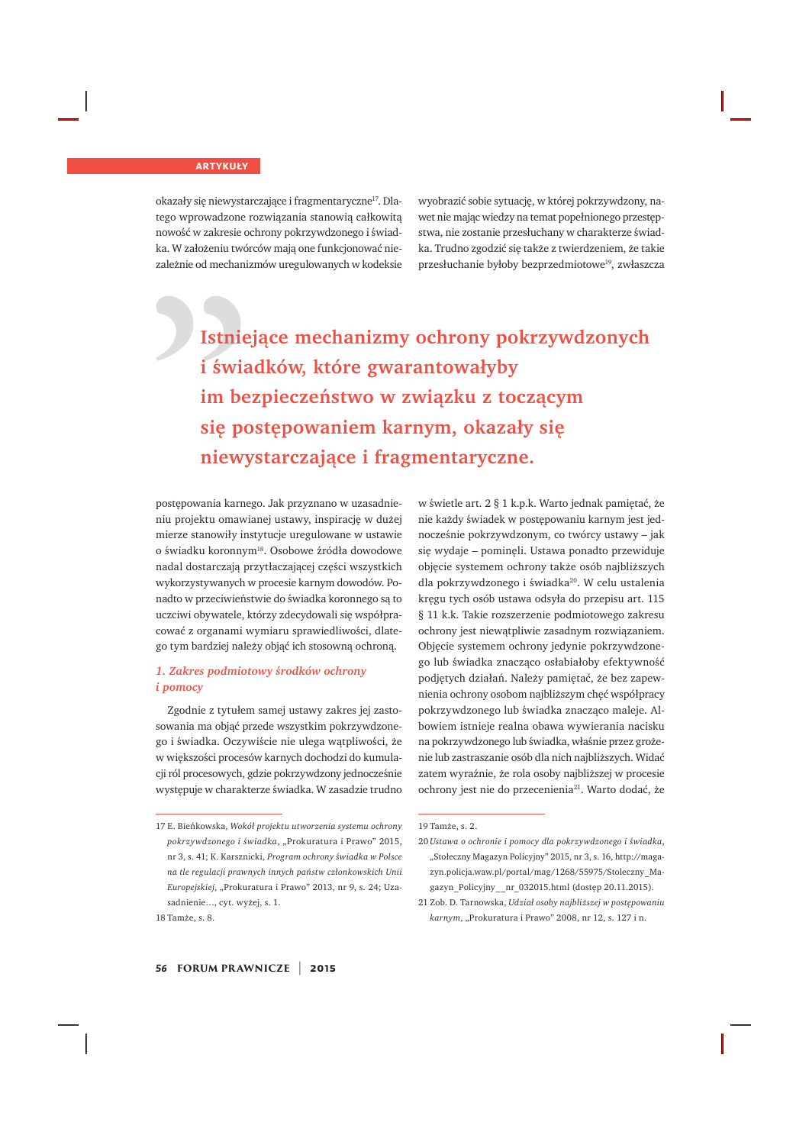okazały się niewystarczające i fragmentaryczne<sup>17</sup>. Dlatego wprowadzone rozwiązania stanowią całkowitą nowość w zakresie ochrony pokrzywdzonego i świadka. W założeniu twórców maja one funkcionować niezależnie od mechanizmów uregulowanych w kodeksie wyobrazić sobie sytuację, w której pokrzywdzony, nawet nie mając wiedzy na temat popełnionego przestępstwa, nie zostanie przesłuchany w charakterze świadka. Trudno zgodzić sie także z twierdzeniem, że takie przesłuchanie byłoby bezprzedmiotowe<sup>19</sup>, zwłaszcza

## **Istniejace mechanizmy ochrony pokrzywdzonych L** świadków, które gwarantowałyby im bezpieczeństwo w związku z toczącym się postępowaniem karnym, okazały się niewystarczające i fragmentaryczne.

postępowania karnego. Jak przyznano w uzasadnieniu projektu omawianej ustawy, inspiracje w dużej mierze stanowiły instytucje uregulowane w ustawie o świadku koronnym<sup>18</sup>. Osobowe źródła dowodowe nadal dostarczają przytłaczającej części wszystkich wykorzystywanych w procesie karnym dowodów. Ponadto w przeciwieństwie do świadka koronnego są to uczciwi obywatele, którzy zdecydowali się współpracować z organami wymiaru sprawiedliwości, dlatego tym bardziej należy objąć ich stosowną ochroną.

#### 1. Zakres podmiotowy środków ochrony *i pomocy*

Zgodnie z tytułem samej ustawy zakres jej zastosowania ma objąć przede wszystkim pokrzywdzonego i świadka. Oczywiście nie ulega wątpliwości, że w większości procesów karnych dochodzi do kumulacji ról procesowych, gdzie pokrzywdzony jednocześnie występuje w charakterze świadka. W zasadzie trudno

18 Tamże, s. 8.

w świetle art. 2 § 1 k.p.k. Warto jednak pamiętać, że nie każdy świadek w postepowaniu karnym jest jednocześnie pokrzywdzonym, co twórcy ustawy – jak się wydaje – pominęli. Ustawa ponadto przewiduje objęcie systemem ochrony także osób najbliższych dla pokrzywdzonego i świadka<sup>20</sup>. W celu ustalenia kręgu tych osób ustawa odsyła do przepisu art. 115 § 11 k.k. Takie rozszerzenie podmiotowego zakresu ochrony jest niewątpliwie zasadnym rozwiązaniem. Objęcie systemem ochrony jedynie pokrzywdzonego lub świadka znacząco osłabiałoby efektywność podjętych działań. Należy pamiętać, że bez zapewnienia ochrony osobom najbliższym chęć współpracy pokrzywdzonego lub świadka znacząco maleje. Albowiem istnieje realna obawa wywierania nacisku na pokrzywdzonego lub świadka, właśnie przez grożenie lub zastraszanie osób dla nich najbliższych. Widać zatem wyraźnie, że rola osoby najbliższej w procesie ochrony jest nie do przecenienia<sup>21</sup>. Warto dodać, że

<sup>17</sup> E. Bieńkowska, Wokół projektu utworzenia systemu ochrony pokrzywdzonego i świadka, "Prokuratura i Prawo" 2015, nr 3, s. 41; K. Karsznicki, Program ochrony świadka w Polsce *na tle regulacji prawnych innych państw członkowskich Unii Europejskiej*, "Prokuratura i Prawo" 2013, nr 9, s. 24; Uzasadnienie..., cyt. wyżej, s. 1.

<sup>19</sup> Tamże, s. 2.

<sup>20</sup> *Ustawa o ochronie i pomocy dla pokrzywdzonego i świadka*, "Stołeczny Magazyn Policyjny" 2015, nr 3, s. 16, http://magazyn.policja.waw.pl/portal/mag/1268/55975/Stoleczny Magazyn\_Policyjny\_\_nr\_032015.html (dostęp 20.11.2015).

<sup>21</sup> Zob. D. Tarnowska, Udział osoby najbliższej w postępowaniu *karnym*, "Prokuratura i Prawo" 2008, nr 12, s. 127 i n.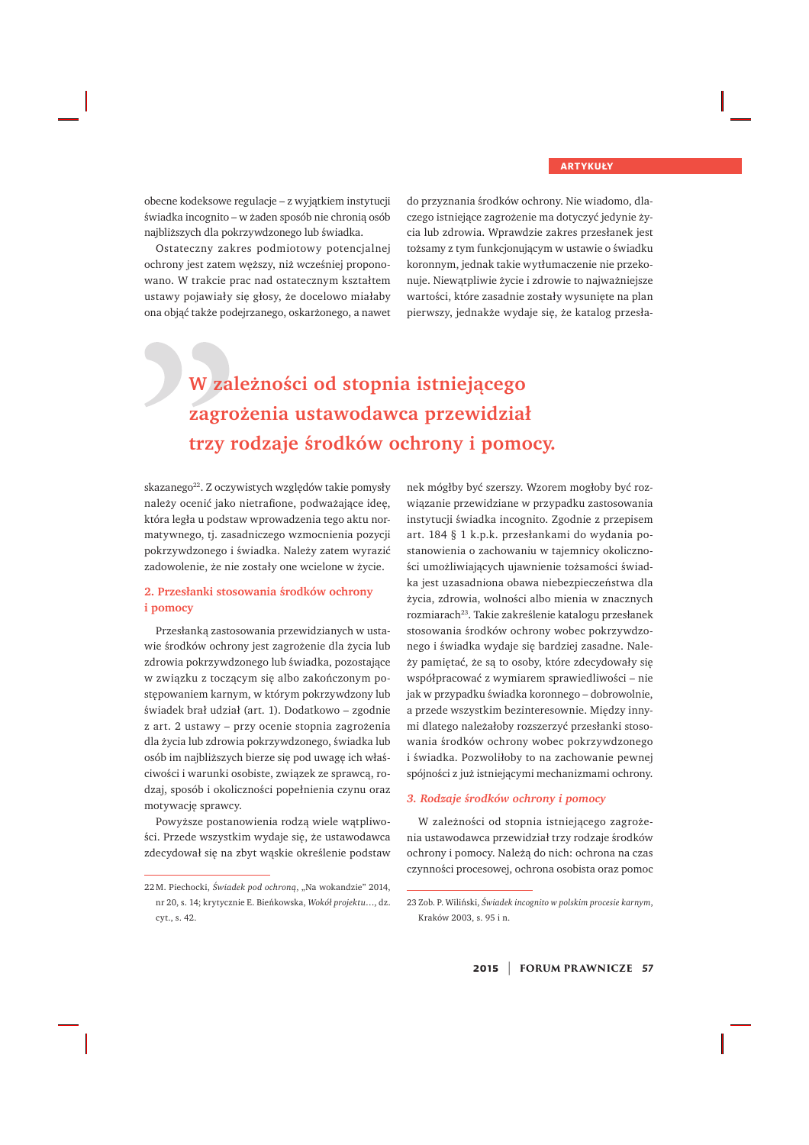obecne kodeksowe regulacje – z wyjątkiem instytucji świadka incognito – w żaden sposób nie chronią osób najbliższych dla pokrzywdzonego lub świadka.

Ostateczny zakres podmiotowy potencialnei ochrony jest zatem weższy, niż wcześniej proponowano. W trakcie prac nad ostatecznym kształtem ustawy pojawiały się głosy, że docelowo miałaby ona objąć także podejrzanego, oskarżonego, a nawet do przyznania środków ochrony. Nie wiadomo, dlaczego istniejące zagrożenie ma dotyczyć jedynie życia lub zdrowia. Wprawdzie zakres przesłanek jest tożsamy z tym funkcionującym w ustawie o świądku koronnym, jednak takie wytłumaczenie nie przekonuje. Niewątpliwie życie i zdrowie to najważniejsze wartości, które zasadnie zostały wysunięte na plan pierwszy, jednakże wydaje się, że katalog przesła-

### W zależności od stopnia istniejącego zagrożenia ustawodawca przewidział trzy rodzaje środków ochrony i pomocy.

skazanego<sup>22</sup>. Z oczywistych względów takie pomysły należy ocenić jako nietrafione, podważające ideę, która legła u podstaw wprowadzenia tego aktu normatywnego, tj. zasadniczego wzmocnienia pozycji pokrzywdzonego i świadka. Należy zatem wyrazić zadowolenie, że nie zostały one wcielone w życie.

#### 2. Przesłanki stosowania środków ochrony **L** i pomocy

Przesłanką zastosowania przewidzianych w ustawie środków ochrony jest zagrożenie dla życia lub zdrowia pokrzywdzonego lub świadka, pozostające w związku z toczącym się albo zakończonym postępowaniem karnym, w którym pokrzywdzony lub świadek brał udział (art. 1). Dodatkowo – zgodnie z art. 2 ustawy – przy ocenie stopnia zagrożenia dla życia lub zdrowia pokrzywdzonego, świadka lub osób im najbliższych bierze się pod uwagę ich właściwości i warunki osobiste, związek ze sprawcą, rodzaj, sposób i okoliczności popełnienia czynu oraz motywacje sprawcy.

Powyższe postanowienia rodzą wiele wątpliwości. Przede wszystkim wydaje się, że ustawodawca zdecydował się na zbyt wąskie określenie podstaw nek mógłby być szerszy. Wzorem mogłoby być rozwiązanie przewidziane w przypadku zastosowania instytucji świadka incognito. Zgodnie z przepisem art. 184 § 1 k.p.k. przesłankami do wydania postanowienia o zachowaniu w tajemnicy okoliczności umożliwiających ujawnienie tożsamości świadka jest uzasadniona obawa niebezpieczeństwa dla życia, zdrowia, wolności albo mienia w znacznych rozmiarach<sup>23</sup>. Takie zakreślenie katalogu przesłanek stosowania środków ochrony wobec pokrzywdzonego i świadka wydaje się bardziej zasadne. Należy pamiętać, że są to osoby, które zdecydowały się współpracować z wymiarem sprawiedliwości – nie jak w przypadku świadka koronnego – dobrowolnie, a przede wszystkim bezinteresownie. Między innymi dlatego należałoby rozszerzyć przesłanki stosowania środków ochrony wobec pokrzywdzonego i świadka. Pozwoliłoby to na zachowanie pewnej spójności z już istniejącymi mechanizmami ochrony.

#### 3. Rodzaje środków ochrony i pomocy

W zależności od stopnia istniejącego zagrożenia ustawodawca przewidział trzy rodzaje środków ochrony i pomocy. Należą do nich: ochrona na czas czynności procesowej, ochrona osobista oraz pomoc

<sup>22</sup>M. Piechocki, Świadek pod ochroną, "Na wokandzie" 2014, nr 20, s. 14; krytycznie E. Bieńkowska, Wokół projektu..., dz. cyt.,  $s. 42$ .

<sup>23</sup> Zob. P. Wiliński, Świadek incognito w polskim procesie karnym, Kraków 2003. s. 95 i n.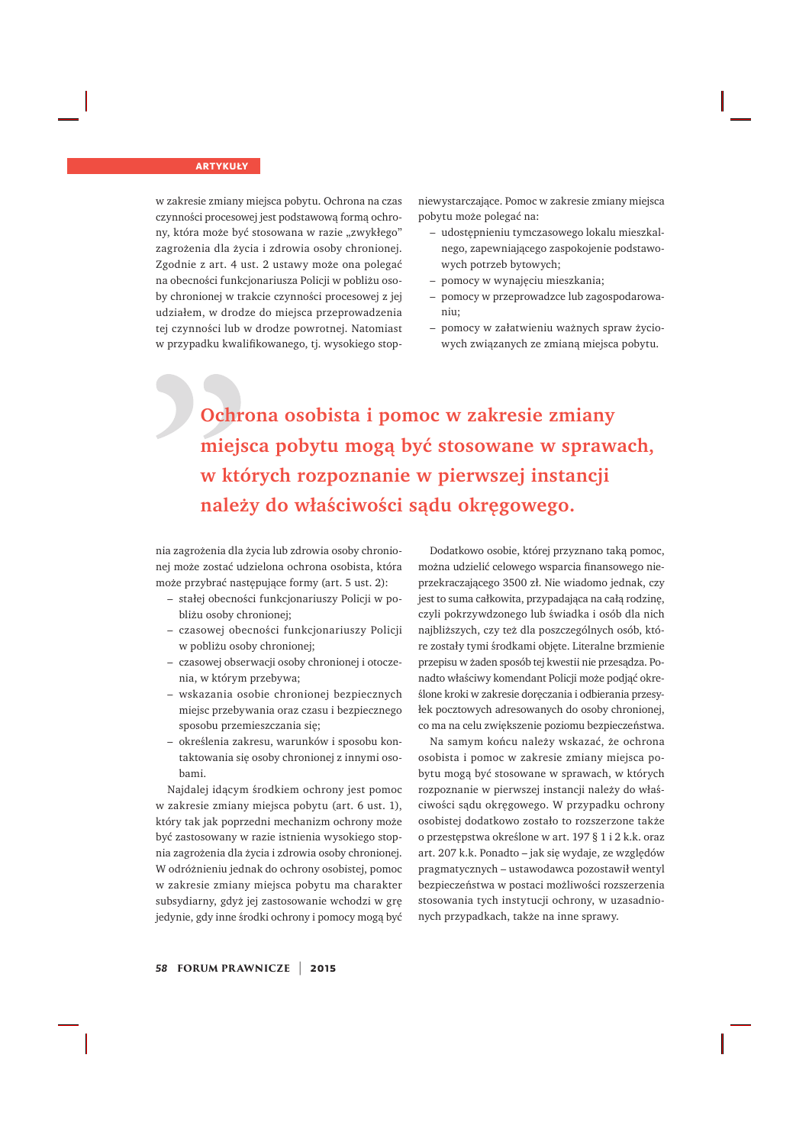w zakresie zmiany miejsca pobytu. Ochrona na czas czynności procesowej jest podstawową formą ochrony, która może być stosowana w razie "zwykłego" zagrożenia dla życia i zdrowia osoby chronionej. Zgodnie z art. 4 ust. 2 ustawy może ona polegać na obecności funkcjonariusza Policji w pobliżu osoby chronionej w trakcie czynności procesowej z jej udziałem, w drodze do miejsca przeprowadzenia tej czynności lub w drodze powrotnej. Natomiast w przypadku kwalifikowanego, tj. wysokiego stopniewystarczające. Pomoc w zakresie zmiany miejsca pobytu może polegać na:

- udostepnieniu tymczasowego lokalu mieszkalnego, zapewniającego zaspokojenie podstawowych potrzeb bytowych;
- pomocy w wynajęciu mieszkania;
- pomocy w przeprowadzce lub zagospodarowaniu:
- pomocy w załatwieniu ważnych spraw życiowych związanych ze zmianą miejsca pobytu.

Ochrona osobista i pomoc w zakresie zmiany miejsca pobytu mogą być stosowane w sprawach, w których rozpoznanie w pierwszej instancji należy do właściwości sądu okręgowego.

nia zagrożenia dla życia lub zdrowia osoby chronionej może zostać udzielona ochrona osobista, która może przybrać następujące formy (art. 5 ust. 2):

- stałej obecności funkcjonariuszy Policji w pobliżu osoby chronionej;
- czasowej obecności funkcjonariuszy Policji w pobliżu osoby chronionej;
- czasowej obserwacji osoby chronionej i otoczenia, w którym przebywa;
- wskazania osobie chronionej bezpiecznych miejsc przebywania oraz czasu i bezpiecznego sposobu przemieszczania się;
- określenia zakresu, warunków i sposobu kontaktowania się osoby chronionej z innymi osobami.

Najdalej idącym środkiem ochrony jest pomoc w zakresie zmiany miejsca pobytu (art. 6 ust. 1), który tak jak poprzedni mechanizm ochrony może być zastosowany w razie istnienia wysokiego stopnia zagrożenia dla życia i zdrowia osoby chronionej. W odróżnieniu jednak do ochrony osobistej, pomoc w zakresie zmiany miejsca pobytu ma charakter subsydiarny, gdyż jej zastosowanie wchodzi w grę jedynie, gdy inne środki ochrony i pomocy mogą być

Dodatkowo osobie, której przyznano taką pomoc, można udzielić celowego wsparcia finansowego nieprzekraczającego 3500 zł. Nie wiadomo jednak, czy jest to suma całkowita, przypadająca na całą rodzinę, czyli pokrzywdzonego lub świadka i osób dla nich najbliższych, czy też dla poszczególnych osób, które zostały tymi środkami objęte. Literalne brzmienie przepisu w żaden sposób tej kwestii nie przesądza. Ponadto właściwy komendant Policji może podjąć określone kroki w zakresie doreczania i odbierania przesyłek pocztowych adresowanych do osoby chronionej, co ma na celu zwiększenie poziomu bezpieczeństwa.

Na samym końcu należy wskazać, że ochrona osobista i pomoc w zakresie zmiany miejsca pobytu mogą być stosowane w sprawach, w których rozpoznanie w pierwszej instancji należy do właściwości sądu okręgowego. W przypadku ochrony osobistej dodatkowo zostało to rozszerzone także o przestępstwa określone w art. 197 $\S$ 1 i 2 k.k. oraz art. 207 k.k. Ponadto - jak się wydaje, ze względów pragmatycznych – ustawodawca pozostawił wentyl bezpieczeństwa w postaci możliwości rozszerzenia stosowania tych instytucji ochrony, w uzasadnionych przypadkach, także na inne sprawy.

#### *<sup>58</sup>* **FORUM PR AWNICZE** | **2015**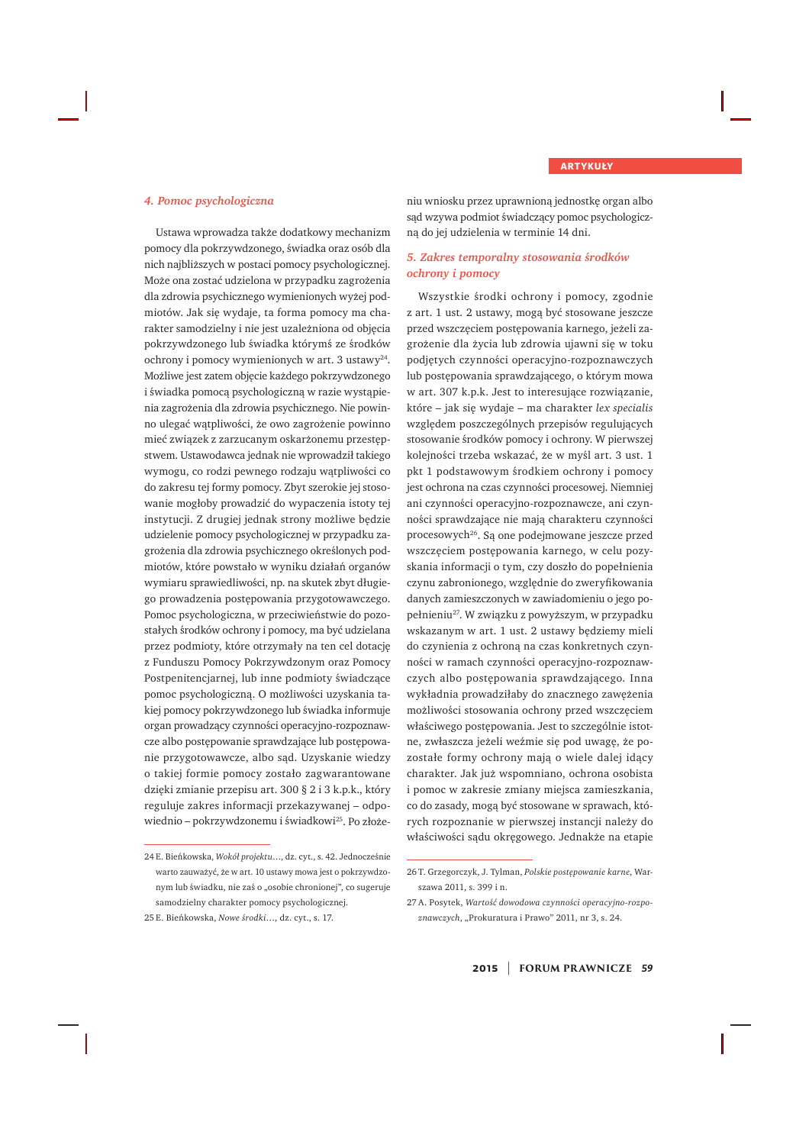#### **4. Pomoc psychologiczna**

Ustawa wprowadza także dodatkowy mechanizm pomocy dla pokrzywdzonego, świadka oraz osób dla nich najbliższych w postaci pomocy psychologicznej. Może ona zostać udzielona w przypadku zagrożenia dla zdrowia psychicznego wymienionych wyżej podmiotów. Jak się wydaje, ta forma pomocy ma charakter samodzielny i nie jest uzależniona od objęcia pokrzywdzonego lub świadka którymś ze środków ochrony i pomocy wymienionych w art. 3 ustawy<sup>24</sup>. Możliwe jest zatem objęcie każdego pokrzywdzonego i świadka pomocą psychologiczną w razie wystąpienia zagrożenia dla zdrowia psychicznego. Nie powinno ulegać wątpliwości, że owo zagrożenie powinno mieć związek z zarzucanym oskarżonemu przestępstwem. Ustawodawca jednak nie wprowadził takiego wymogu, co rodzi pewnego rodzaju wątpliwości co do zakresu tej formy pomocy. Zbyt szerokie jej stosowanie mogłoby prowadzić do wypaczenia istoty tej instytucji. Z drugiej jednak strony możliwe bedzie udzielenie pomocy psychologicznej w przypadku zagrożenia dla zdrowia psychicznego określonych podmiotów, które powstało w wyniku działań organów wymiaru sprawiedliwości, np. na skutek zbyt długiego prowadzenia postępowania przygotowawczego. Pomoc psychologiczna, w przeciwieństwie do pozostałych środków ochrony i pomocy, ma być udzielana przez podmioty, które otrzymały na ten cel dotację z Funduszu Pomocy Pokrzywdzonym oraz Pomocy Postpenitencjarnej, lub inne podmioty świadczące pomoc psychologiczną. O możliwości uzyskania takiej pomocy pokrzywdzonego lub świadka informuje organ prowadzący czynności operacyjno-rozpoznawcze albo postępowanie sprawdzające lub postępowanie przygotowawcze, albo sąd. Uzyskanie wiedzy o takiej formie pomocy zostało zagwarantowane dzięki zmianie przepisu art. 300 § 2 i 3 k.p.k., który reguluje zakres informacji przekazywanej – odpowiednio – pokrzywdzonemu i świadkowi<sup>25</sup>. Po złożeniu wniosku przez uprawnioną jednostkę organ albo sąd wzywa podmiot świadczący pomoc psychologiczna do jej udzielenia w terminie 14 dni.

#### **5. Zakres temporalny stosowania środków** *ochrony i pomocy*

Wszystkie środki ochrony i pomocy, zgodnie z art. 1 ust. 2 ustawy, mogą być stosowane jeszcze przed wszczęciem postępowania karnego, jeżeli zagrożenie dla życia lub zdrowia ujawni się w toku podjętych czynności operacyjno-rozpoznawczych lub postępowania sprawdzającego, o którym mowa w art. 307 k.p.k. Jest to interesujące rozwiązanie, które - jak się wydaje - ma charakter lex specialis względem poszczególnych przepisów regulujących stosowanie środków pomocy i ochrony. W pierwszej kolejności trzeba wskazać, że w myśl art. 3 ust. 1 pkt 1 podstawowym środkiem ochrony i pomocy jest ochrona na czas czynności procesowej. Niemniej ani czynności operacyjno-rozpoznawcze, ani czynności sprawdzające nie mają charakteru czynności procesowych<sup>26</sup>. Są one podejmowane jeszcze przed wszczęciem postępowania karnego, w celu pozyskania informacji o tym, czy doszło do popełnienia czynu zabronionego, względnie do zweryfikowania danych zamieszczonych w zawiadomieniu o jego popełnieniu<sup>27</sup>. W związku z powyższym, w przypadku wskazanym w art. 1 ust. 2 ustawy będziemy mieli do czynienia z ochroną na czas konkretnych czynności w ramach czynności operacyjno-rozpoznawczych albo postępowania sprawdzającego. Inna wykładnia prowadziłaby do znacznego zawężenia możliwości stosowania ochrony przed wszczęciem właściwego postępowania. Jest to szczególnie istotne, zwłaszcza jeżeli weźmie się pod uwagę, że pozostałe formy ochrony mają o wiele dalej idący charakter. Jak już wspomniano, ochrona osobista i pomoc w zakresie zmiany miejsca zamieszkania, co do zasady, moga być stosowane w sprawach, którvch rozpoznanie w pierwszej instancji należy do właściwości sądu okręgowego. Jednakże na etapie

<sup>24</sup> E. Bieńkowska, Wokół projektu..., dz. cyt., s. 42. Jednocześnie warto zauważyć, że w art. 10 ustawy mowa jest o pokrzywdzonym lub świadku, nie zaś o "osobie chronionej", co sugeruje samodzielny charakter pomocy psychologicznej.

<sup>25</sup> E. Bieńkowska, Nowe środki..., dz. cyt., s. 17.

<sup>26</sup> T. Grzegorczyk, J. Tylman, Polskie postępowanie karne, Warszawa 2011. s. 399 i n.

<sup>27</sup> A. Posytek, Wartość dowodowa czynności operacyjno-rozpoznawczych, "Prokuratura i Prawo" 2011, nr 3, s. 24.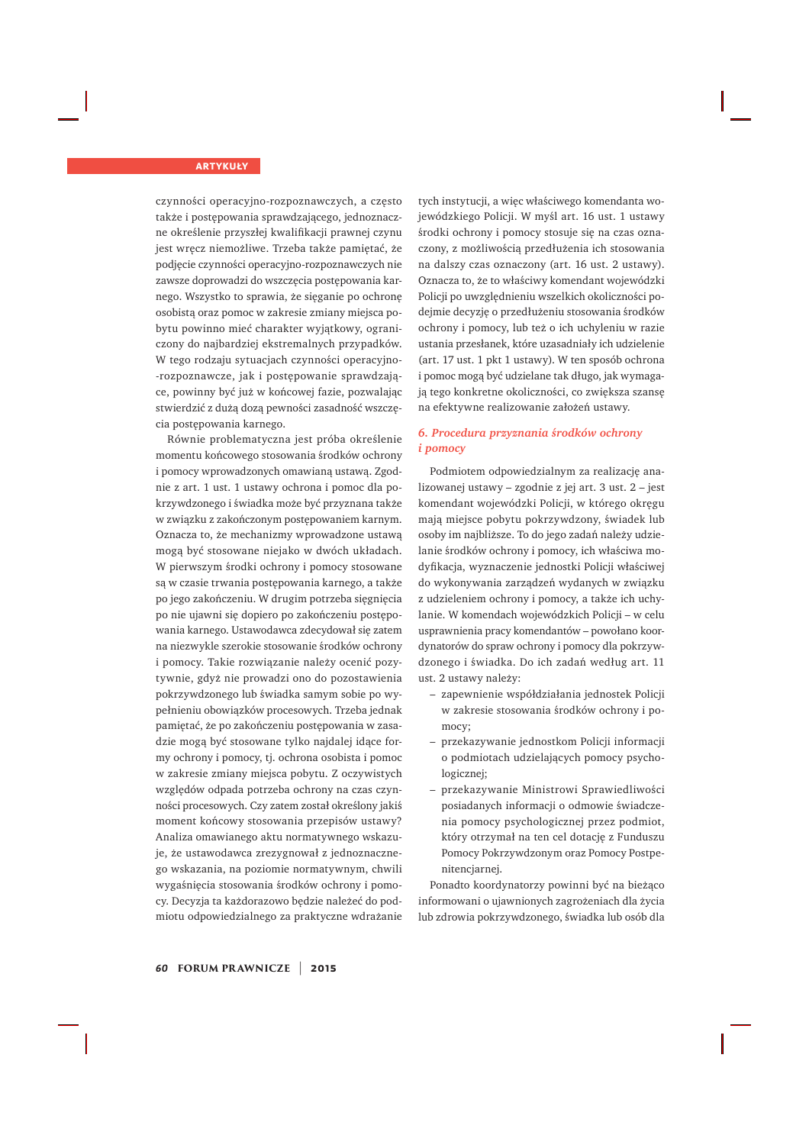czynności operacyjno-rozpoznawczych, a często także i postępowania sprawdzającego, jednoznaczne określenie przyszłej kwalifikacji prawnej czynu iest wrecz niemożliwe. Trzeba także pamietać, że podjecie czynności operacyjno-rozpoznawczych nie zawsze doprowadzi do wszczęcia postępowania karnego. Wszystko to sprawia, że sięganie po ochronę osobistą oraz pomoc w zakresie zmiany miejsca pobytu powinno mieć charakter wyjątkowy, ograniczony do najbardziej ekstremalnych przypadków. W tego rodzaju sytuacjach czynności operacyjno--rozpoznawcze, jak i postępowanie sprawdzające, powinny być już w końcowej fazie, pozwalając stwierdzić z dużą dozą pewności zasadność wszczęcia postępowania karnego.

Równie problematyczna jest próba określenie momentu końcowego stosowania środków ochrony i pomocy wprowadzonych omawianą ustawą. Zgodnie z art. 1 ust. 1 ustawy ochrona i pomoc dla pokrzywdzonego i świadka może być przyznana także w związku z zakończonym postępowaniem karnym. Oznacza to, że mechanizmy wprowadzone ustawa mogą być stosowane niejako w dwóch układach. W pierwszym środki ochrony i pomocy stosowane są w czasie trwania postępowania karnego, a także po jego zakończeniu. W drugim potrzeba sięgnięcia po nie ujawni się dopiero po zakończeniu postępowania karnego. Ustawodawca zdecydował się zatem na niezwykle szerokie stosowanie środków ochrony i pomocy. Takie rozwiązanie należy ocenić pozytywnie, gdyż nie prowadzi ono do pozostawienia pokrzywdzonego lub świadka samym sobie po wypełnieniu obowiązków procesowych. Trzeba jednak pamiętać, że po zakończeniu postępowania w zasadzie mogą być stosowane tylko najdalej idace formy ochrony i pomocy, tj. ochrona osobista i pomoc w zakresie zmiany miejsca pobytu. Z oczywistych względów odpada potrzeba ochrony na czas czynności procesowych. Czy zatem został określony jakiś moment końcowy stosowania przepisów ustawy? Analiza omawianego aktu normatywnego wskazuje, że ustawodawca zrezygnował z jednoznacznego wskazania, na poziomie normatywnym, chwili wygaśnięcia stosowania środków ochrony i pomocy. Decyzja ta każdorazowo będzie należeć do podmiotu odpowiedzialnego za praktyczne wdrażanie

tych instytucji, a więc właściwego komendanta wojewódzkiego Policji. W myśl art. 16 ust. 1 ustawy środki ochrony i pomocy stosuje się na czas oznaczony, z możliwościa przedłużenia ich stosowania na dalszy czas oznaczony (art. 16 ust. 2 ustawy). Oznacza to, że to właściwy komendant wojewódzki Policji po uwzględnieniu wszelkich okoliczności podejmie decyzję o przedłużeniu stosowania środków ochrony i pomocy, lub też o ich uchyleniu w razie ustania przesłanek, które uzasadniały ich udzielenie (art. 17 ust. 1 pkt 1 ustawy). W ten sposób ochrona i pomoc mogą być udzielane tak długo, jak wymagają tego konkretne okoliczności, co zwiększa szansę na efektywne realizowanie założeń ustawy.

#### **5. Procedura przyznania środków ochrony** *i pomocy*

Podmiotem odpowiedzialnym za realizację analizowanej ustawy – zgodnie z jej art. 3 ust.  $2$  – jest komendant wojewódzki Policji, w którego okręgu mają miejsce pobytu pokrzywdzony, świadek lub osoby im najbliższe. To do jego zadań należy udzielanie środków ochrony i pomocy, ich właściwa modyfikacja, wyznaczenie jednostki Policji właściwej do wykonywania zarządzeń wydanych w związku z udzieleniem ochrony i pomocy, a także ich uchylanie. W komendach wojewódzkich Policji – w celu usprawnienia pracy komendantów – powołano koordynatorów do spraw ochrony i pomocy dla pokrzywdzonego i świadka. Do ich zadań według art. 11 ust. 2 ustawy należy:

- zapewnienie współdziałania jednostek Policji w zakresie stosowania środków ochrony i pomocy;
- przekazywanie jednostkom Policji informacji o podmiotach udzielających pomocy psychologicznej:
- przekazywanie Ministrowi Sprawiedliwości posiadanych informacji o odmowie świadczenia pomocy psychologicznej przez podmiot, który otrzymał na ten cel dotację z Funduszu Pomocy Pokrzywdzonym oraz Pomocy Postpenitencjarnej.

Ponadto koordynatorzy powinni być na bieżąco informowani o ujawnionych zagrożeniach dla życia lub zdrowia pokrzywdzonego, świadka lub osób dla

*<sup>60</sup>* **FORUM PR AWNICZE** | **2015**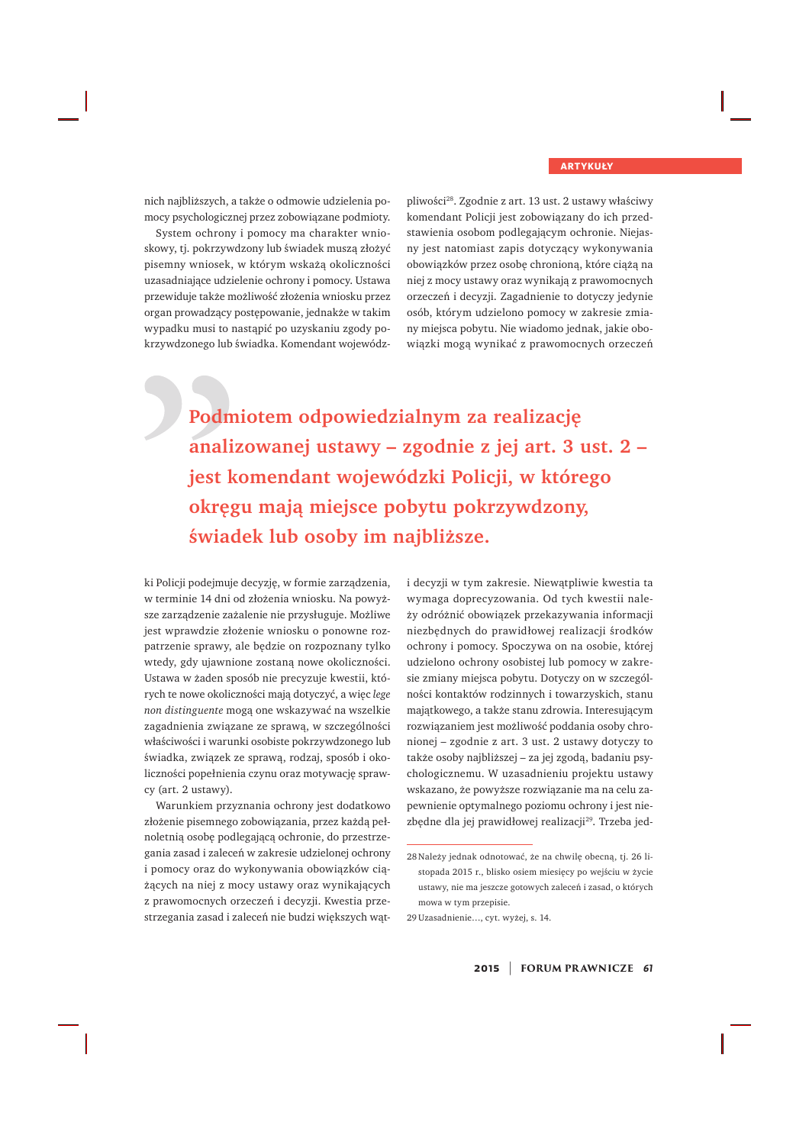nich najbliższych, a także o odmowie udzielenia pomocy psychologicznej przez zobowiązane podmioty.

System ochrony i pomocy ma charakter wnioskowy, tj. pokrzywdzony lub świadek musza złożyć pisemny wniosek, w którym wskażą okoliczności uzasadniające udzielenie ochrony i pomocy. Ustawa przewiduje także możliwość złożenia wniosku przez organ prowadzący postępowanie, jednakże w takim wypadku musi to nastąpić po uzyskaniu zgody pokrzywdzonego lub świadka. Komendant wojewódz-

pliwości<sup>28</sup>. Zgodnie z art. 13 ust. 2 ustawy właściwy komendant Policji jest zobowiązany do ich przedstawienia osobom podlegającym ochronie. Niejasny jest natomiast zapis dotyczący wykonywania obowiązków przez osobę chronioną, które ciążą na niej z mocy ustawy oraz wynikają z prawomocnych orzeczeń i decyzji. Zagadnienie to dotyczy jedynie osób, którym udzielono pomocy w zakresie zmiany miejsca pobytu. Nie wiadomo jednak, jakie obowiązki mogą wynikać z prawomocnych orzeczeń

Podmiotem odpowiedzialnym za realizację analizowanej ustawy – zgodnie z jej art. 3 ust. 2 – jest komendant wojewódzki Policji, w którego okręgu mają miejsce pobytu pokrzywdzony, świadek lub osoby im najbliższe.

ki Policji podejmuje decyzję, w formie zarządzenia, w terminie 14 dni od złożenia wniosku. Na powyższe zarządzenie zażalenie nie przysługuje. Możliwe jest wprawdzie złożenie wniosku o ponowne rozpatrzenie sprawy, ale będzie on rozpoznany tylko wtedy, gdy ujawnione zostaną nowe okoliczności. Ustawa w żaden sposób nie precyzuje kwestii, których te nowe okoliczności mają dotyczyć, a więc lege *non distinguente* mogą one wskazywać na wszelkie zagadnienia związane ze sprawą, w szczególności właściwości i warunki osobiste pokrzywdzonego lub świadka, związek ze sprawą, rodzaj, sposób i okoliczności popełnienia czynu oraz motywację sprawcy (art. 2 ustawy).

Warunkiem przyznania ochrony jest dodatkowo złożenie pisemnego zobowiązania, przez każdą pełnoletnią osobę podlegającą ochronie, do przestrzegania zasad i zaleceń w zakresie udzielonej ochrony i pomocy oraz do wykonywania obowiązków ciążących na niej z mocy ustawy oraz wynikających z prawomocnych orzeczeń i decyzji. Kwestia przestrzegania zasad i zaleceń nie budzi większych wati decyzji w tym zakresie. Niewątpliwie kwestia ta wymaga doprecyzowania. Od tych kwestii należy odróżnić obowiązek przekazywania informacji niezbędnych do prawidłowej realizacji środków ochrony i pomocy. Spoczywa on na osobie, której udzielono ochrony osobistej lub pomocy w zakresie zmiany miejsca pobytu. Dotyczy on w szczególności kontaktów rodzinnych i towarzyskich, stanu majątkowego, a także stanu zdrowia. Interesującym rozwiązaniem jest możliwość poddania osoby chronionej – zgodnie z art. 3 ust. 2 ustawy dotyczy to także osoby najbliższej – za jej zgodą, badaniu psychologicznemu. W uzasadnieniu projektu ustawy wskazano, że powyższe rozwiązanie ma na celu zapewnienie optymalnego poziomu ochrony i jest niezbędne dla jej prawidłowej realizacji<sup>29</sup>. Trzeba jed-

29 Uzasadnienie..., cyt. wyżej, s. 14.

<sup>28</sup> Należy jednak odnotować, że na chwilę obecną, tj. 26 listopada 2015 r., blisko osiem miesięcy po wejściu w życie ustawy, nie ma jeszcze gotowych zaleceń i zasad, o których mowa w tym przepisie.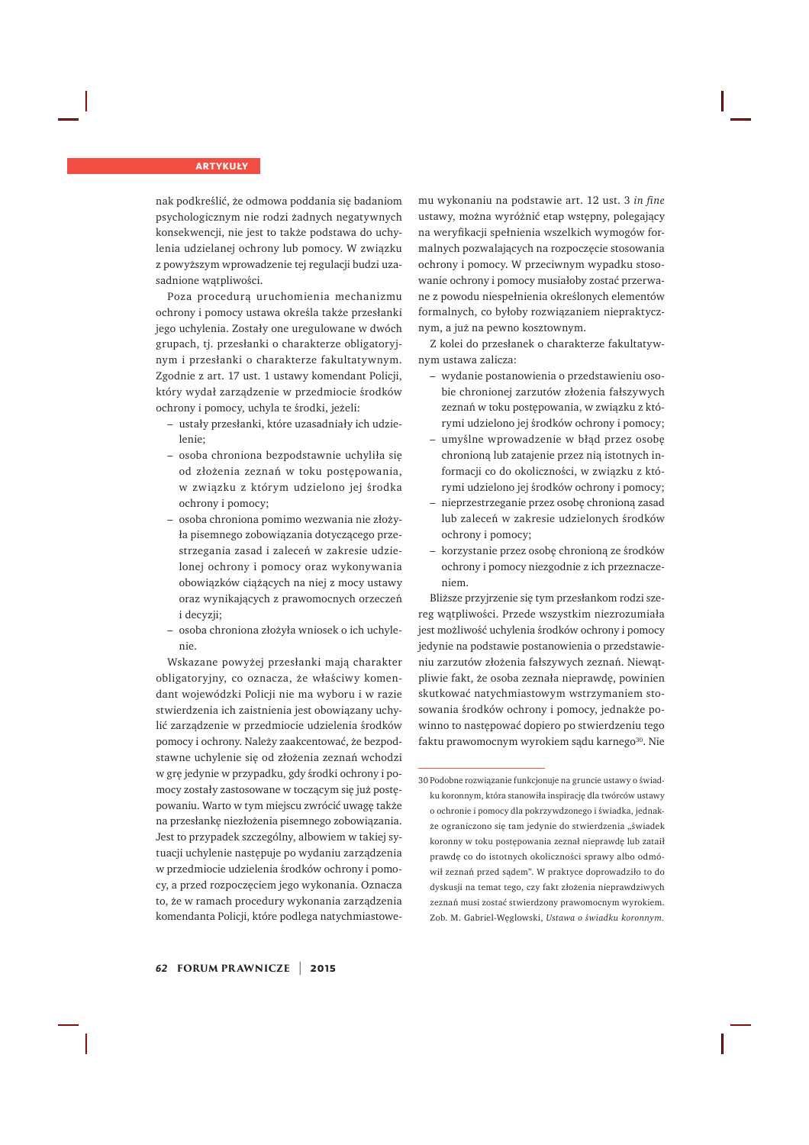nak podkreślić, że odmowa poddania się badaniom psychologicznym nie rodzi żadnych negatywnych konsekwencji, nie jest to także podstawa do uchylenia udzielanej ochrony lub pomocy. W związku z powyższym wprowadzenie tej regulacji budzi uzasadnione watpliwości.

Poza procedurą uruchomienia mechanizmu ochrony i pomocy ustawa określa także przesłanki jego uchylenia. Zostały one uregulowane w dwóch grupach, tj. przesłanki o charakterze obligatoryjnym i przesłanki o charakterze fakultatywnym. Zgodnie z art. 17 ust. 1 ustawy komendant Policji, który wydał zarządzenie w przedmiocie środków ochrony i pomocy, uchyla te środki, jeżeli:

- ustały przesłanki, które uzasadniały ich udzielenie;
- osoba chroniona bezpodstawnie uchyliła się od złożenia zeznań w toku postępowania, w związku z którym udzielono jej środka ochrony i pomocy:
- osoba chroniona pomimo wezwania nie złożyła pisemnego zobowiazania dotyczącego przestrzegania zasad i zaleceń w zakresie udzielonej ochrony i pomocy oraz wykonywania obowiązków ciążących na niej z mocy ustawy oraz wynikających z prawomocnych orzeczeń i decvzii:
- osoba chroniona złożyła wniosek o ich uchylenie.

Wskazane powyżej przesłanki mają charakter obligatoryjny, co oznacza, że właściwy komendant wojewódzki Policji nie ma wyboru i w razie stwierdzenia ich zaistnienia jest obowiązany uchylić zarządzenie w przedmiocie udzielenia środków pomocy i ochrony. Należy zaakcentować, że bezpodstawne uchylenie się od złożenia zeznań wchodzi w grę jedynie w przypadku, gdy środki ochrony i pomocy zostały zastosowane w toczącym się już postępowaniu. Warto w tym miejscu zwrócić uwagę także na przesłankę niezłożenia pisemnego zobowiązania. Jest to przypadek szczególny, albowiem w takiej sytuacji uchylenie następuje po wydaniu zarządzenia w przedmiocie udzielenia środków ochrony i pomocy, a przed rozpoczęciem jego wykonania. Oznacza to, że w ramach procedury wykonania zarządzenia komendanta Policji, które podlega natychmiastowemu wykonaniu na podstawie art. 12 ust. 3 in fine ustawy, można wyróżnić etap wstępny, polegający na weryfikacji spełnienia wszelkich wymogów formalnych pozwalających na rozpoczecie stosowania ochrony i pomocy. W przeciwnym wypadku stosowanie ochrony i pomocy musiałoby zostać przerwane z powodu niespełnienia określonych elementów formalnych, co byłoby rozwiązaniem niepraktycznym, a już na pewno kosztownym.

Z kolei do przesłanek o charakterze fakultatywnym ustawa zalicza:

- wydanie postanowienia o przedstawieniu osobie chronionej zarzutów złożenia fałszywych zeznań w toku postępowania, w związku z którymi udzielono jej środków ochrony i pomocy;
- umyślne wprowadzenie w błąd przez osobę chronioną lub zatajenie przez nią istotnych informacji co do okoliczności, w związku z którymi udzielono jej środków ochrony i pomocy;
- nieprzestrzeganie przez osobę chronioną zasad lub zaleceń w zakresie udzielonych środków ochrony i pomocy;
- korzystanie przez osobę chronioną ze środków ochrony i pomocy niezgodnie z ich przeznaczeniem.

Bliższe przyjrzenie się tym przesłankom rodzi szereg wątpliwości. Przede wszystkim niezrozumiała jest możliwość uchylenia środków ochrony i pomocy jedynie na podstawie postanowienia o przedstawieniu zarzutów złożenia fałszywych zeznań. Niewątpliwie fakt, że osoba zeznała nieprawdę, powinien skutkować natychmiastowym wstrzymaniem stosowania środków ochrony i pomocy, jednakże powinno to nastepować dopiero po stwierdzeniu tego faktu prawomocnym wyrokiem sadu karnego<sup>30</sup>. Nie

 $30$ Podobne rozwiązanie funkcjonuje na gruncie ustawy o świadku koronnym, która stanowiła inspirację dla twórców ustawy o ochronie i pomocy dla pokrzywdzonego i świadka, jednakże ograniczono się tam jedynie do stwierdzenia "świadek koronny w toku postepowania zeznał nieprawde lub zataił prawde co do istotnych okoliczności sprawy albo odmówił zeznań przed sądem". W praktyce doprowadziło to do dyskusji na temat tego, czy fakt złożenia nieprawdziwych zeznań musi zostać stwierdzony prawomocnym wyrokiem. Zob. M. Gabriel-Weglowski, Ustawa o świadku koronnym.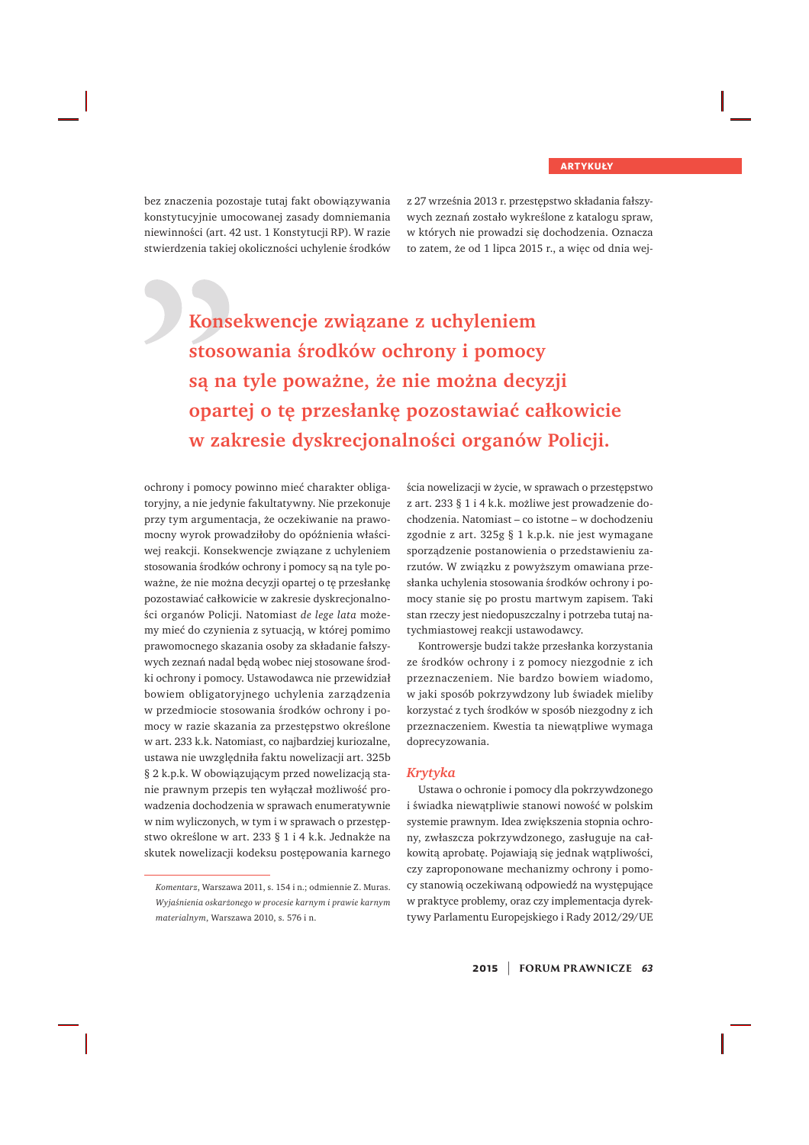bez znaczenia pozostaje tutaj fakt obowiązywania konstytucyjnie umocowanej zasady domniemania niewinności (art. 42 ust. 1 Konstytucji RP). W razie stwierdzenia takiej okoliczności uchylenie środków z 27 września 2013 r. przestępstwo składania fałszywych zeznań zostało wykreślone z katalogu spraw, w których nie prowadzi się dochodzenia. Oznacza to zatem, że od 1 lipca 2015 r., a więc od dnia wej-

Konsekwencje związane z uchyleniem stosowania środków ochrony i pomocy są na tyle poważne, że nie można decyzji opartej o tę przesłankę pozostawiać całkowicie w zakresie dyskrecjonalności organów Policji.

ochrony i pomocy powinno mieć charakter obligatoryjny, a nie jedynie fakultatywny. Nie przekonuje przy tym argumentacja, że oczekiwanie na prawomocny wyrok prowadziłoby do opóźnienia właściwej reakcji. Konsekwencje związane z uchyleniem stosowania środków ochrony i pomocy są na tyle poważne, że nie można decyzji opartej o tę przesłankę pozostawiać całkowicie w zakresie dyskrecjonalności organów Policji. Natomiast de lege lata możemy mieć do czynienia z sytuacją, w której pomimo prawomocnego skazania osoby za składanie fałszywych zeznań nadal będą wobec niej stosowane środki ochrony i pomocy. Ustawodawca nie przewidział bowiem obligatoryjnego uchylenia zarządzenia w przedmiocie stosowania środków ochrony i pomocy w razie skazania za przestępstwo określone w art. 233 k.k. Natomiast, co najbardziej kuriozalne, ustawa nie uwzględniła faktu nowelizacji art. 325b § 2 k.p.k. W obowiązującym przed nowelizacją stanie prawnym przepis ten wyłączał możliwość prowadzenia dochodzenia w sprawach enumeratywnie w nim wyliczonych, w tym i w sprawach o przestępstwo określone w art. 233 § 1 i 4 k.k. Jednakże na skutek nowelizacji kodeksu postępowania karnego

ścia nowelizacji w życie, w sprawach o przestępstwo z art. 233 § 1 i 4 k.k. możliwe jest prowadzenie dochodzenia. Natomiast – co istotne – w dochodzeniu zgodnie z art. 325g § 1 k.p.k. nie jest wymagane sporządzenie postanowienia o przedstawieniu zarzutów. W związku z powyższym omawiana przesłanka uchylenia stosowania środków ochrony i pomocy stanie się po prostu martwym zapisem. Taki stan rzeczy jest niedopuszczalny i potrzeba tutaj natychmiastowej reakcji ustawodawcy.

Kontrowersje budzi także przesłanka korzystania ze środków ochrony i z pomocy niezgodnie z ich przeznaczeniem. Nie bardzo bowiem wiadomo, w jaki sposób pokrzywdzony lub świadek mieliby korzystać z tych środków w sposób niezgodny z ich przeznaczeniem. Kwestia ta niewątpliwe wymaga doprecyzowania.

#### *Krytyka*

Ustawa o ochronie i pomocy dla pokrzywdzonego i świadka niewatpliwie stanowi nowość w polskim systemie prawnym. Idea zwiększenia stopnia ochrony, zwłaszcza pokrzywdzonego, zasługuje na całkowitą aprobatę. Pojawiają się jednak wątpliwości, czy zaproponowane mechanizmy ochrony i pomocy stanowią oczekiwaną odpowiedź na występujące w praktyce problemy, oraz czy implementacja dyrektywy Parlamentu Europejskiego i Rady 2012/29/UE

*Komentarz*, Warszawa 2011, s. 154 i n.; odmiennie Z. Muras. *Wyjaśnienia oskarżonego w procesie karnym i prawie karnym materialnym*, Warszawa 2010, s. 576 i n.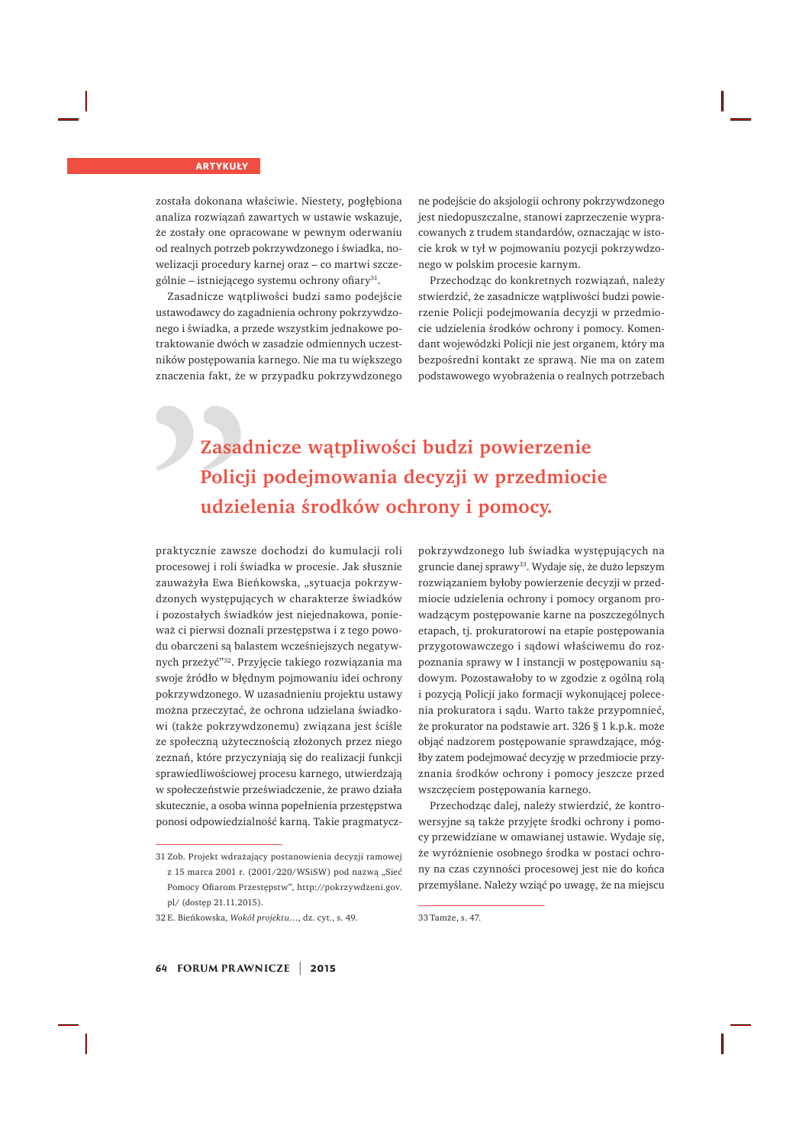została dokonana właściwie. Niestety, pogłębiona analiza rozwiązań zawartych w ustawie wskazuje, że zostały one opracowane w pewnym oderwaniu od realnych potrzeb pokrzywdzonego i świadka, nowelizacji procedury karnej oraz – co martwi szczególnie – istniejącego systemu ochrony ofiary<sup>31</sup>.

Zasadnicze wątpliwości budzi samo podejście ustawodawcy do zagadnienia ochrony pokrzywdzonego i świadka, a przede wszystkim jednakowe potraktowanie dwóch w zasadzie odmiennych uczestników postępowania karnego. Nie ma tu większego znaczenia fakt, że w przypadku pokrzywdzonego

ne podejście do aksjologii ochrony pokrzywdzonego jest niedopuszczalne, stanowi zaprzeczenie wypracowanych z trudem standardów, oznaczając w istocie krok w tył w pojmowaniu pozycji pokrzywdzonego w polskim procesie karnym.

Przechodząc do konkretnych rozwiązań, należy stwierdzić, że zasadnicze wątpliwości budzi powierzenie Policji podejmowania decyzji w przedmiocie udzielenia środków ochrony i pomocy. Komendant wojewódzki Policji nie jest organem, który ma bezpośredni kontakt ze sprawą. Nie ma on zatem podstawowego wyobrażenia o realnych potrzebach

### Zasadnicze wątpliwości budzi powierzenie Policji podejmowania decyzji w przedmiocie **udzielenia środków ochrony i pomocy.**

praktycznie zawsze dochodzi do kumulacji roli procesowej i roli świadka w procesie. Jak słusznie zauważyła Ewa Bieńkowska, "sytuacja pokrzywdzonych występujących w charakterze świadków i pozostałych świadków jest niejednakowa, ponieważ ci pierwsi doznali przestępstwa i z tego powodu obarczeni są balastem wcześniejszych negatywnych przeżyć"<sup>32</sup>. Przyjęcie takiego rozwiązania ma swoje źródło w błędnym pojmowaniu idei ochrony pokrzywdzonego. W uzasadnieniu projektu ustawy można przeczytać, że ochrona udzielana świadkowi (także pokrzywdzonemu) związana jest ściśle ze społeczną użytecznością złożonych przez niego zeznań, które przyczyniają się do realizacji funkcji sprawiedliwościowej procesu karnego, utwierdzają w społeczeństwie przeświadczenie, że prawo działa skutecznie, a osoba winna popełnienia przestępstwa ponosi odpowiedzialność karną. Takie pragmatycz-

pokrzywdzonego lub świadka występujących na gruncie danej sprawy<sup>33</sup>. Wydaje się, że dużo lepszym rozwiązaniem byłoby powierzenie decyzji w przedmiocie udzielenia ochrony i pomocy organom prowadzącym postępowanie karne na poszczególnych etapach, tj. prokuratorowi na etapie postępowania przygotowawczego i sądowi właściwemu do rozpoznania sprawy w I instancji w postępowaniu sądowym. Pozostawałoby to w zgodzie z ogólną rolą i pozycją Policji jako formacji wykonującej polecenia prokuratora i sądu. Warto także przypomnieć, że prokurator na podstawie art. 326 § 1 k.p.k. może objąć nadzorem postępowanie sprawdzające, mógłby zatem podejmować decyzję w przedmiocie przyznania środków ochrony i pomocy jeszcze przed wszczęciem postępowania karnego.

Przechodząc dalej, należy stwierdzić, że kontrowersyjne są także przyjęte środki ochrony i pomocy przewidziane w omawianej ustawie. Wydaje się, że wyróżnienie osobnego środka w postaci ochrony na czas czynności procesowej jest nie do końca przemyślane. Należy wziąć po uwagę, że na miejscu

<sup>31</sup> Zob. Projekt wdrażający postanowienia decyzji ramowej z 15 marca 2001 r. (2001/220/WSiSW) pod nazwą "Sieć Pomocy Ofiarom Przestępstw", http://pokrzywdzeni.gov. pl/ (dostep 21.11.2015).

<sup>32</sup>E. Bieńkowska, Wokół projektu..., dz. cyt., s. 49.

<sup>33</sup> Tamże, s. 47.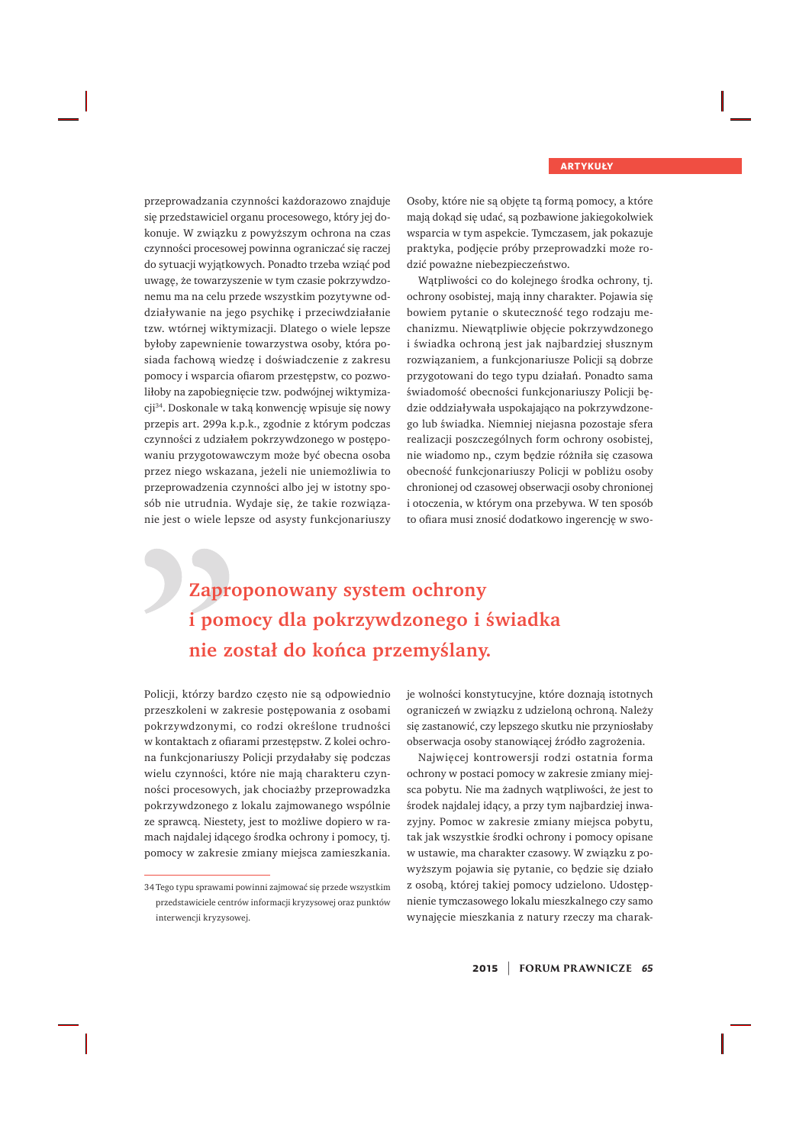przeprowadzania czynności każdorazowo znajduje się przedstawiciel organu procesowego, który jej dokonuje. W związku z powyższym ochrona na czas czynności procesowej powinna ograniczać się raczej do sytuacji wyjatkowych. Ponadto trzeba wziąć pod uwagę, że towarzyszenie w tym czasie pokrzywdzonemu ma na celu przede wszystkim pozytywne oddziaływanie na jego psychikę i przeciwdziałanie tzw. wtórnej wiktymizacji. Dlatego o wiele lepsze byłoby zapewnienie towarzystwa osoby, która posiada fachową wiedzę i doświadczenie z zakresu pomocy i wsparcia ofiarom przestępstw, co pozwoliłoby na zapobiegnięcie tzw. podwójnej wiktymizacji<sup>34</sup>. Doskonale w taką konwencję wpisuje się nowy przepis art. 299a k.p.k., zgodnie z którym podczas czynności z udziałem pokrzywdzonego w postępowaniu przygotowawczym może być obecna osoba przez niego wskazana, jeżeli nie uniemożliwia to przeprowadzenia czynności albo jej w istotny sposób nie utrudnia. Wydaje się, że takie rozwiązanie jest o wiele lepsze od asysty funkcjonariuszy

Osoby, które nie są objęte tą formą pomocy, a które mają dokąd się udać, są pozbawione jakiegokolwiek wsparcia w tym aspekcie. Tymczasem, jak pokazuje praktyka, podjęcie próby przeprowadzki może rodzić poważne niebezpieczeństwo.

Wątpliwości co do kolejnego środka ochrony, tj. ochrony osobistej, mają inny charakter. Pojawia się bowiem pytanie o skuteczność tego rodzaju mechanizmu. Niewątpliwie objęcie pokrzywdzonego i świadka ochrona jest jak najbardziej słusznym rozwiązaniem, a funkcjonariusze Policji są dobrze przygotowani do tego typu działań. Ponadto sama świadomość obecności funkcjonariuszy Policji będzie oddziaływała uspokajająco na pokrzywdzonego lub świadka. Niemniej niejasna pozostaje sfera realizacji poszczególnych form ochrony osobistej, nie wiadomo np., czym będzie różniła się czasowa obecność funkcjonariuszy Policji w pobliżu osoby chronionej od czasowej obserwacji osoby chronionej i otoczenia, w którym ona przebywa. W ten sposób to ofiara musi znosić dodatkowo ingerencje w swo-

### **Zaproponowany system ochrony** i pomocy dla pokrzywdzonego i świadka nie został do końca przemyślany.

Policji, którzy bardzo często nie są odpowiednio przeszkoleni w zakresie postępowania z osobami pokrzywdzonymi, co rodzi określone trudności w kontaktach z ofiarami przestępstw. Z kolei ochrona funkcjonariuszy Policji przydałaby się podczas wielu czynności, które nie mają charakteru czynności procesowych, jak chociażby przeprowadzka pokrzywdzonego z lokalu zajmowanego wspólnie ze sprawcą. Niestety, jest to możliwe dopiero w ramach najdalej idącego środka ochrony i pomocy, tj. pomocy w zakresie zmiany miejsca zamieszkania.

je wolności konstytucyjne, które doznają istotnych ograniczeń w związku z udzieloną ochroną. Należy się zastanowić, czy lepszego skutku nie przyniosłaby obserwacja osoby stanowiącej źródło zagrożenia.

Najwięcej kontrowersji rodzi ostatnia forma ochrony w postaci pomocy w zakresie zmiany miejsca pobytu. Nie ma żadnych wątpliwości, że jest to środek najdalej idacy, a przy tym najbardziej inwazviny. Pomoc w zakresie zmiany miejsca pobytu, tak jak wszystkie środki ochrony i pomocy opisane w ustawie, ma charakter czasowy. W związku z powyższym pojawia się pytanie, co będzie się działo z osobą, której takiej pomocy udzielono. Udostępnienie tymczasowego lokalu mieszkalnego czy samo wynajęcie mieszkania z natury rzeczy ma charak-

**2015** | **FORUM PR AWNICZE** *<sup>65</sup>*

<sup>34</sup> Tego typu sprawami powinni zajmować się przede wszystkim przedstawiciele centrów informacji kryzysowej oraz punktów interwencji kryzysowej.